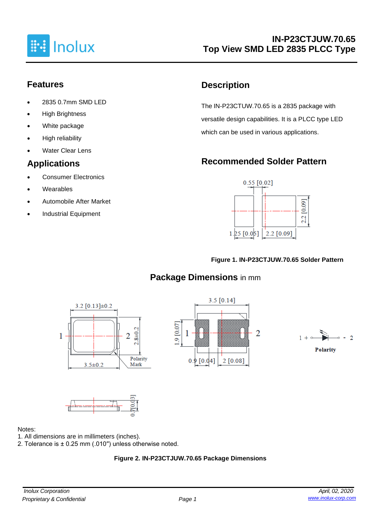

### **Features**

- 2835 0.7mm SMD LED
- **High Brightness**
- White package
- High reliability
- **Water Clear Lens**

### **Applications**

- Consumer Electronics
- **Wearables**
- Automobile After Market
- Industrial Equipment

## **Description**

The IN-P23CTUW.70.65 is a 2835 package with versatile design capabilities. It is a PLCC type LED which can be used in various applications.

# **Recommended Solder Pattern**



#### **Figure 1. IN-P23CTJUW.70.65 Solder Pattern**

# **Package Dimensions** in mm









#### Notes:

- 1. All dimensions are in millimeters (inches).
- 2. Tolerance is ± 0.25 mm (.010′′) unless otherwise noted.

#### **Figure 2. IN-P23CTJUW.70.65 Package Dimensions**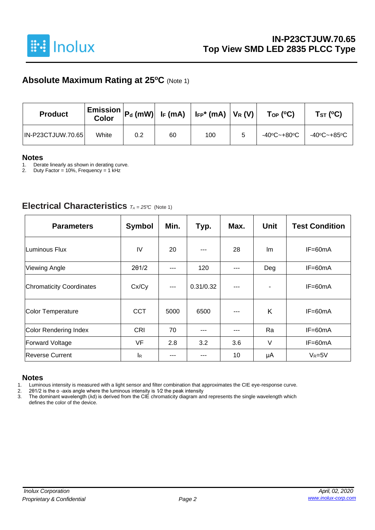

### **Absolute Maximum Rating at 25<sup>o</sup>C** (Note 1)

| <b>Product</b>           | <b>Color</b> | $\mid$ Emission $\mid$ Pd (mW) $\mid$ IF (mA) $\mid$ IFP* (mA) $\mid$ VR (V) $\mid$ |    |     | $\mathsf{Top}$ (°C) | Tsт (°C)    |             |  |
|--------------------------|--------------|-------------------------------------------------------------------------------------|----|-----|---------------------|-------------|-------------|--|
| <b>IN-P23CTJUW.70.65</b> | White        | 0.2                                                                                 | 60 | 100 | 5                   | -40°C~+80°C | -40°C~+85°C |  |

# **Notes**

1. Derate linearly as shown in derating curve.<br>2. Duty Factor = 10%. Frequency = 1 kHz

Duty Factor = 10%, Frequency = 1 kHz

#### **Electrical Characteristics** *<sup>T</sup><sup>A</sup> <sup>=</sup> 25°C* (Note 1)

| <b>Parameters</b>               | <b>Symbol</b> | Min.  | Typ.      | Max. | <b>Unit</b> | <b>Test Condition</b> |
|---------------------------------|---------------|-------|-----------|------|-------------|-----------------------|
| Luminous Flux                   | IV            | 20    |           | 28   | lm          | $IF=60mA$             |
| <b>Viewing Angle</b>            | 201/2         | ---   | 120       | ---  | Deg         | IF=60mA               |
| <b>Chromaticity Coordinates</b> | Cx/Cy         | $---$ | 0.31/0.32 | ---  |             | IF=60mA               |
| <b>Color Temperature</b>        | <b>CCT</b>    | 5000  | 6500      | ---  | K           | $IF=60mA$             |
| <b>Color Rendering Index</b>    | CRI           | 70    | ---       | ---  | Ra          | IF=60mA               |
| <b>Forward Voltage</b>          | <b>VF</b>     | 2.8   | 3.2       | 3.6  | V           | $IF = 60mA$           |
| <b>Reverse Current</b>          | lĸ            |       |           | 10   | μA          | $V_R = 5V$            |

#### **Notes**

1. Luminous intensity is measured with a light sensor and filter combination that approximates the CIE eye-response curve.<br>2. 201/2 is the o-axis angle where the luminous intensity is  $1/2$  the peak intensity

2. 2θ1/2 is the o -axis angle where the luminous intensity is 1⁄2 the peak intensity

3. The dominant wavelength (λd) is derived from the CIE chromaticity diagram and represents the single wavelength which defines the color of the device.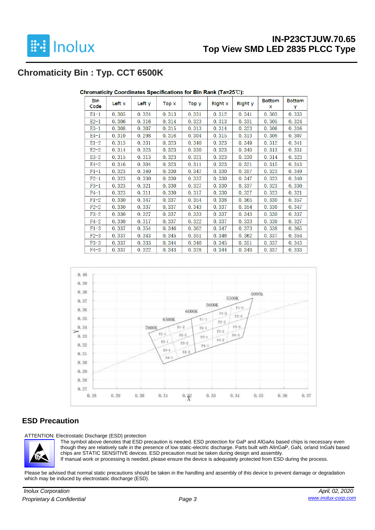

## **Chromaticity Bin : Typ. CCT 6500K**

| Bin<br>Code | Left x | Left y | Top x | Top y | Right x | Right y | <b>Bottom</b><br>x | <b>Bottom</b><br>у |
|-------------|--------|--------|-------|-------|---------|---------|--------------------|--------------------|
| $E1-1$      | 0.305  | 0.324  | 0.313 | 0.331 | 0.312   | 0.341   | 0.303              | 0.333              |
| $E2-1$      | 0.306  | 0.316  | 0.314 | 0.323 | 0.313   | 0.331   | 0.305              | 0.324              |
| $E3-1$      | 0.308  | 0.307  | 0.315 | 0.313 | 0.314   | 0.323   | 0.306              | 0.316              |
| E4-1        | 0.310  | 0.298  | 0.316 | 0.304 | 0.315   | 0.313   | 0.308              | 0.307              |
| $E1-2$      | 0.313  | 0.331  | 0.323 | 0.340 | 0.323   | 0.349   | 0.312              | 0.341              |
| $E2-2$      | 0.314  | 0.323  | 0.323 | 0.330 | 0.323   | 0.340   | 0.313              | 0.331              |
| $E3-2$      | 0.315  | 0.313  | 0.323 | 0.321 | 0.323   | 0.330   | 0.314              | 0.323              |
| $E4-2$      | 0.316  | 0.304  | 0.323 | 0.311 | 0.323   | 0.321   | 0.315              | 0.313              |
| $F1-1$      | 0.323  | 0.340  | 0.330 | 0.347 | 0.330   | 0.357   | 0.323              | 0.349              |
| $F2-1$      | 0.323  | 0.330  | 0.330 | 0.337 | 0.330   | 0.347   | 0.323              | 0.340              |
| $F3-1$      | 0.323  | 0.321  | 0.330 | 0.327 | 0.330   | 0.337   | 0.323              | 0.330              |
| $F4-1$      | 0.323  | 0.311  | 0.330 | 0.317 | 0.330   | 0.327   | 0.323              | 0.321              |
| $F1-2$      | 0.330  | 0.347  | 0.337 | 0.354 | 0.338   | 0.365   | 0.330              | 0.357              |
| $F2-2$      | 0.330  | 0.337  | 0.337 | 0.343 | 0.337   | 0.354   | 0.330              | 0.347              |
| $F3-2$      | 0.330  | 0.327  | 0.337 | 0.333 | 0.337   | 0.343   | 0.330              | 0.337              |
| $F4-2$      | 0.330  | 0.317  | 0.337 | 0.322 | 0.337   | 0.333   | 0.330              | 0.327              |
| $F1-3$      | 0.337  | 0.354  | 0.346 | 0.362 | 0.347   | 0.373   | 0.338              | 0.365              |
| $F2-3$      | 0.337  | 0.343  | 0.345 | 0.351 | 0.346   | 0.362   | 0.337              | 0.354              |
| $F3-3$      | 0.337  | 0.333  | 0.344 | 0.340 | 0.345   | 0.351   | 0.337              | 0.343              |
| $F4-3$      | 0.337  | 0.322  | 0.343 | 0.328 | 0.344   | 0.340   | 0.337              | 0.333              |

Chromaticity Coordinates Specifications for Bin Rank (Ta=25℃):



#### **ESD Precaution**

ATTENTION: Electrostatic Discharge (ESD) protection



The symbol above denotes that ESD precaution is needed. ESD protection for GaP and AlGaAs based chips is necessary even though they are relatively safe in the presence of low static-electric discharge. Parts built with AlInGaP, GaN, or/and InGaN based chips are STATIC SENSITIVE devices. ESD precaution must be taken during design and assembly. If manual work or processing is needed, please ensure the device is adequately protected from ESD during the process.

Please be advised that normal static precautions should be taken in the handling and assembly of this device to prevent damage or degradation which may be induced by electrostatic discharge (ESD).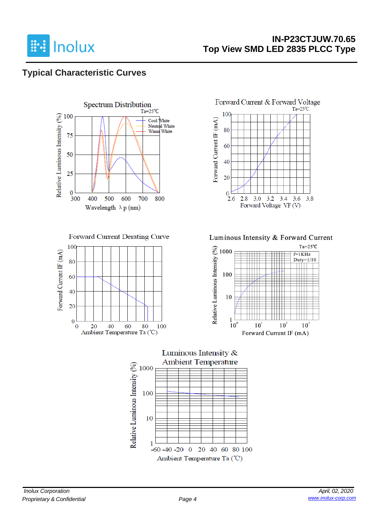

### **IN-P23CTJUW.70.65 Top View SMD LED 2835 PLCC Type**

### **Typical Characteristic Curves**



Forward Current Derating Curve





Luminous Intensity & Forward Current



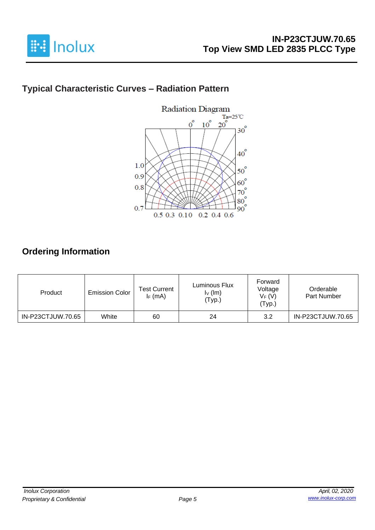

# **Typical Characteristic Curves – Radiation Pattern**



## **Ordering Information**

| Product           | <b>Emission Color</b> | <b>Test Current</b><br>$I_F$ (mA) | Luminous Flux<br>$I_V$ (lm)<br>'Typ.) | Forward<br>Voltage<br>$V_F(V)$<br>'Тур.) | Orderable<br>Part Number |
|-------------------|-----------------------|-----------------------------------|---------------------------------------|------------------------------------------|--------------------------|
| IN-P23CTJUW.70.65 | White                 | 60                                | 24                                    | 3.2                                      | IN-P23CTJUW.70.65        |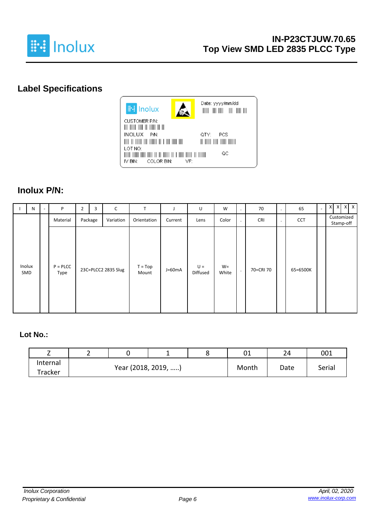

# **Label Specifications**



### **Inolux P/N:**

| N             | P                     | $\overline{2}$ | 3       | C                   | T                  |          | U                 | W              | ٠       | 70         | $\bullet$ | 65         | $\overline{a}$ | $X$ $X$ $X$ $X$         |
|---------------|-----------------------|----------------|---------|---------------------|--------------------|----------|-------------------|----------------|---------|------------|-----------|------------|----------------|-------------------------|
|               | Material              |                | Package | Variation           | Orientation        | Current  | Lens              | Color          | $\cdot$ | <b>CRI</b> | $\bullet$ | <b>CCT</b> |                | Customized<br>Stamp-off |
| Inolux<br>SMD | $P = P L C C$<br>Type |                |         | 23C=PLCC2 2835 Slug | $T = Top$<br>Mount | $J=60mA$ | $U =$<br>Diffused | $W =$<br>White | $\cdot$ | 70=CRI 70  |           | 65=6500K   |                |                         |

#### **Lot No.:**

| -        | ∸ |                     |  |       | 01   | 2Δ     | 001 |  |
|----------|---|---------------------|--|-------|------|--------|-----|--|
| Internal |   |                     |  |       |      |        |     |  |
| Tracker  |   | Year (2018, 2019, ) |  | Month | Date | Serial |     |  |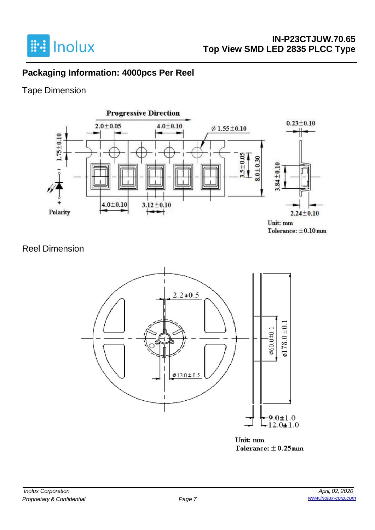

### **Packaging Information: 4000pcs Per Reel**

### Tape Dimension



### Reel Dimension



Unit: mm Tolerance:  $\pm$  0.25mm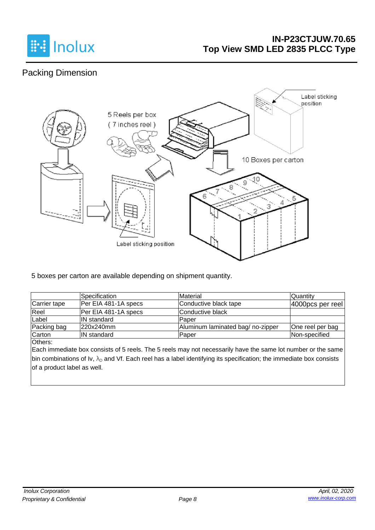

### **IN-P23CTJUW.70.65 Top View SMD LED 2835 PLCC Type**

# Packing Dimension



5 boxes per carton are available depending on shipment quantity.

|              | <b>Specification</b> | Material                         | <b>Quantity</b>      |
|--------------|----------------------|----------------------------------|----------------------|
| Carrier tape | Per EIA 481-1A specs | Conductive black tape            | $ 4000$ pcs per reel |
| Reel         | Per EIA 481-1A specs | Conductive black                 |                      |
| Label        | <b>IN</b> standard   | Paper                            |                      |
| Packing bag  | 220x240mm            | Aluminum laminated bag/no-zipper | One reel per bag     |
| Carton       | <b>IN</b> standard   | Paper                            | Non-specified        |

Others:

Each immediate box consists of 5 reels. The 5 reels may not necessarily have the same lot number or the same bin combinations of Iv,  $\lambda_D$  and Vf. Each reel has a label identifying its specification; the immediate box consists of a product label as well.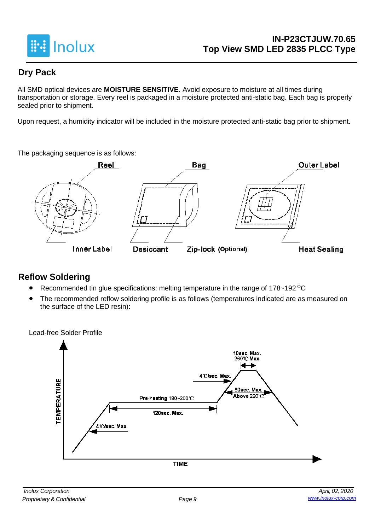

### **Dry Pack**

All SMD optical devices are **MOISTURE SENSITIVE**. Avoid exposure to moisture at all times during transportation or storage. Every reel is packaged in a moisture protected anti-static bag. Each bag is properly sealed prior to shipment.

Upon request, a humidity indicator will be included in the moisture protected anti-static bag prior to shipment.

The packaging sequence is as follows:



### **Reflow Soldering**

- Recommended tin glue specifications: melting temperature in the range of 178~192 <sup>o</sup>C
- The recommended reflow soldering profile is as follows (temperatures indicated are as measured on the surface of the LED resin):

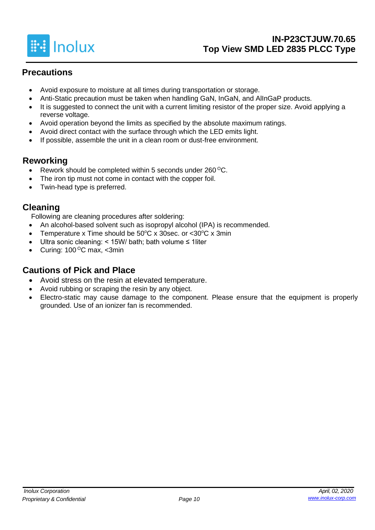

### **Precautions**

- Avoid exposure to moisture at all times during transportation or storage.
- Anti-Static precaution must be taken when handling GaN, InGaN, and AlInGaP products.
- It is suggested to connect the unit with a current limiting resistor of the proper size. Avoid applying a reverse voltage.
- Avoid operation beyond the limits as specified by the absolute maximum ratings.
- Avoid direct contact with the surface through which the LED emits light.
- If possible, assemble the unit in a clean room or dust-free environment.

### **Reworking**

- Rework should be completed within 5 seconds under  $260^{\circ}$ C.
- The iron tip must not come in contact with the copper foil.
- Twin-head type is preferred.

### **Cleaning**

Following are cleaning procedures after soldering:

- An alcohol-based solvent such as isopropyl alcohol (IPA) is recommended.
- Temperature x Time should be  $50^{\circ}$ C x 30sec. or <30 $^{\circ}$ C x 3min
- Ultra sonic cleaning: < 15W/ bath; bath volume ≤ 1liter
- Curing:  $100^{\circ}$ C max, <3min

### **Cautions of Pick and Place**

- Avoid stress on the resin at elevated temperature.
- Avoid rubbing or scraping the resin by any object.
- Electro-static may cause damage to the component. Please ensure that the equipment is properly grounded. Use of an ionizer fan is recommended.